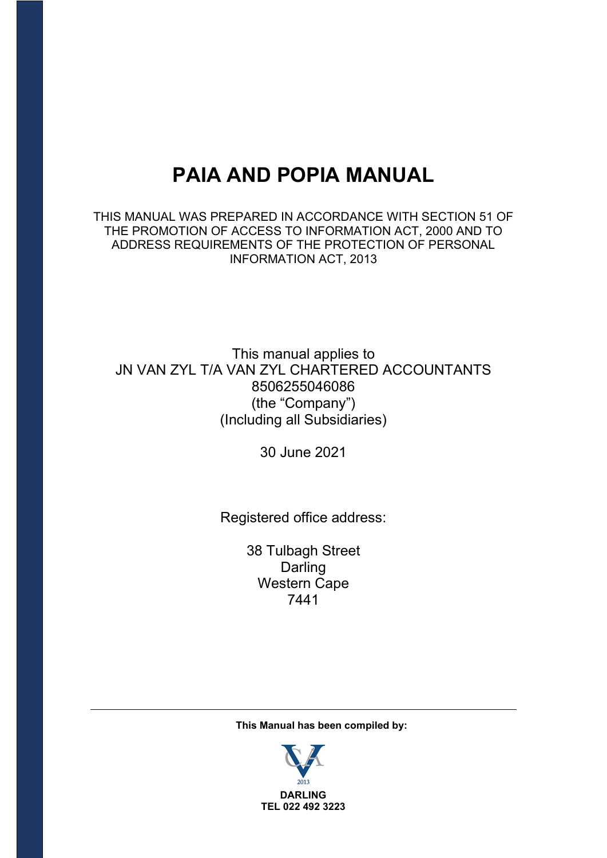# **PAIA AND POPIA MANUAL**

THIS MANUAL WAS PREPARED IN ACCORDANCE WITH SECTION 51 OF THE PROMOTION OF ACCESS TO INFORMATION ACT, 2000 AND TO ADDRESS REQUIREMENTS OF THE PROTECTION OF PERSONAL INFORMATION ACT, 2013

# This manual applies to JN VAN ZYL T/A VAN ZYL CHARTERED ACCOUNTANTS 8506255046086 (the "Company") (Including all Subsidiaries)

30 June 2021

Registered office address:

38 Tulbagh Street Darling Western Cape 7441

**This Manual has been compiled by:**

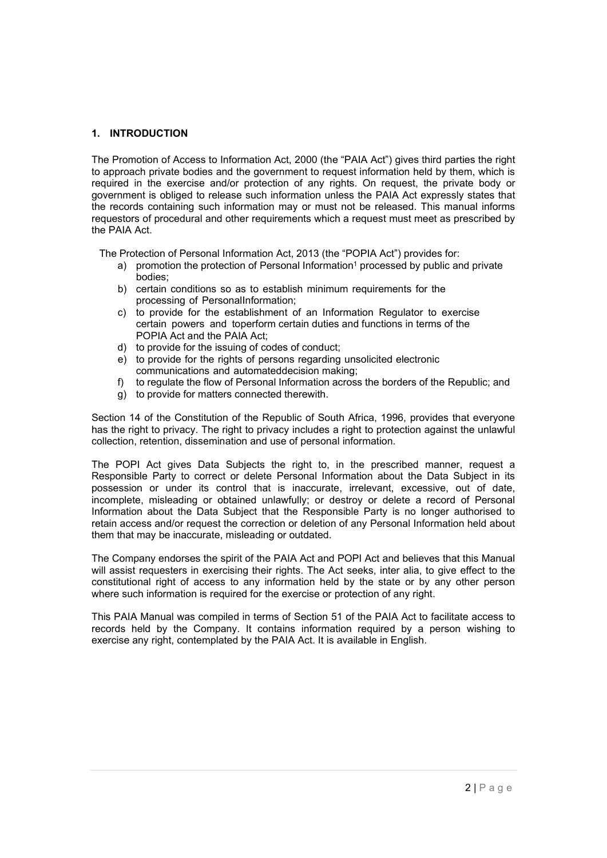## **1. INTRODUCTION**

The Promotion of Access to Information Act, 2000 (the "PAIA Act") gives third parties the right to approach private bodies and the government to request information held by them, which is required in the exercise and/or protection of any rights. On request, the private body or government is obliged to release such information unless the PAIA Act expressly states that the records containing such information may or must not be released. This manual informs requestors of procedural and other requirements which a request must meet as prescribed by the PAIA Act.

The Protection of Personal Information Act, 2013 (the "POPIA Act") provides for:

- a) promotion the protection of Personal Information<sup>1</sup> processed by public and private bodies;
- b) certain conditions so as to establish minimum requirements for the processing of PersonalInformation;
- c) to provide for the establishment of an Information Regulator to exercise certain powers and toperform certain duties and functions in terms of the POPIA Act and the PAIA Act;
- d) to provide for the issuing of codes of conduct;
- e) to provide for the rights of persons regarding unsolicited electronic communications and automateddecision making;
- f) to regulate the flow of Personal Information across the borders of the Republic; and
- g) to provide for matters connected therewith.

Section 14 of the Constitution of the Republic of South Africa, 1996, provides that everyone has the right to privacy. The right to privacy includes a right to protection against the unlawful collection, retention, dissemination and use of personal information.

The POPI Act gives Data Subjects the right to, in the prescribed manner, request a Responsible Party to correct or delete Personal Information about the Data Subject in its possession or under its control that is inaccurate, irrelevant, excessive, out of date, incomplete, misleading or obtained unlawfully; or destroy or delete a record of Personal Information about the Data Subject that the Responsible Party is no longer authorised to retain access and/or request the correction or deletion of any Personal Information held about them that may be inaccurate, misleading or outdated.

The Company endorses the spirit of the PAIA Act and POPI Act and believes that this Manual will assist requesters in exercising their rights. The Act seeks, inter alia, to give effect to the constitutional right of access to any information held by the state or by any other person where such information is required for the exercise or protection of any right.

This PAIA Manual was compiled in terms of Section 51 of the PAIA Act to facilitate access to records held by the Company. It contains information required by a person wishing to exercise any right, contemplated by the PAIA Act. It is available in English.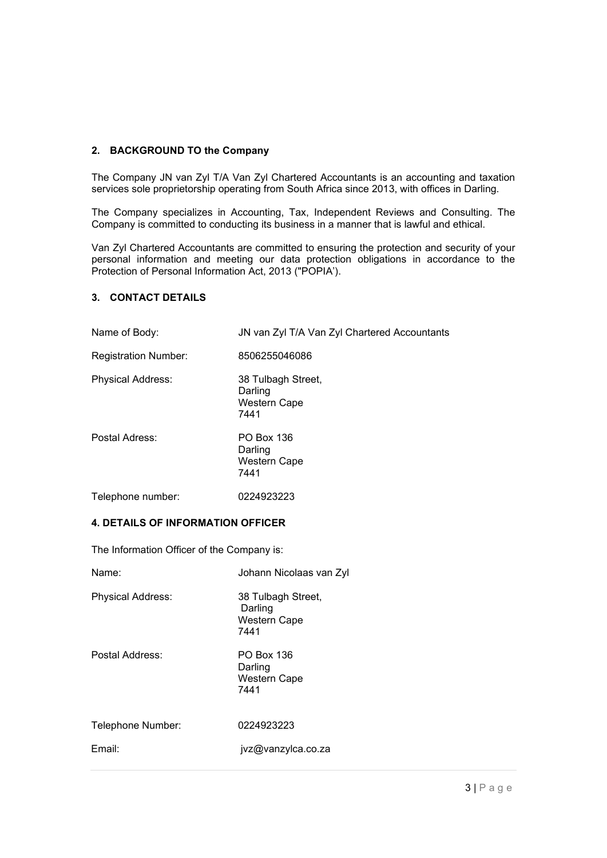#### **2. BACKGROUND TO the Company**

The Company JN van Zyl T/A Van Zyl Chartered Accountants is an accounting and taxation services sole proprietorship operating from South Africa since 2013, with offices in Darling.

The Company specializes in Accounting, Tax, Independent Reviews and Consulting. The Company is committed to conducting its business in a manner that is lawful and ethical.

Van Zyl Chartered Accountants are committed to ensuring the protection and security of your personal information and meeting our data protection obligations in accordance to the Protection of Personal Information Act, 2013 ("POPIA').

#### **3. CONTACT DETAILS**

| Name of Body:               | JN van Zyl T/A Van Zyl Chartered Accountants                 |
|-----------------------------|--------------------------------------------------------------|
| <b>Registration Number:</b> | 8506255046086                                                |
| <b>Physical Address:</b>    | 38 Tulbagh Street,<br>Darling<br><b>Western Cape</b><br>7441 |
| Postal Adress:              | PO Box 136<br>Darling<br><b>Western Cape</b><br>7441         |
| Telephone number:           | 0224923223                                                   |

#### **4. DETAILS OF INFORMATION OFFICER**

The Information Officer of the Company is:

| Name:             | Johann Nicolaas van Zyl                               |
|-------------------|-------------------------------------------------------|
| Physical Address: | 38 Tulbagh Street,<br>Darling<br>Western Cape<br>7441 |
| Postal Address:   | PO Box 136<br>Darling<br><b>Western Cape</b><br>7441  |
| Telephone Number: | 0224923223                                            |
| Email:            | jvz@vanzylca.co.za                                    |
|                   |                                                       |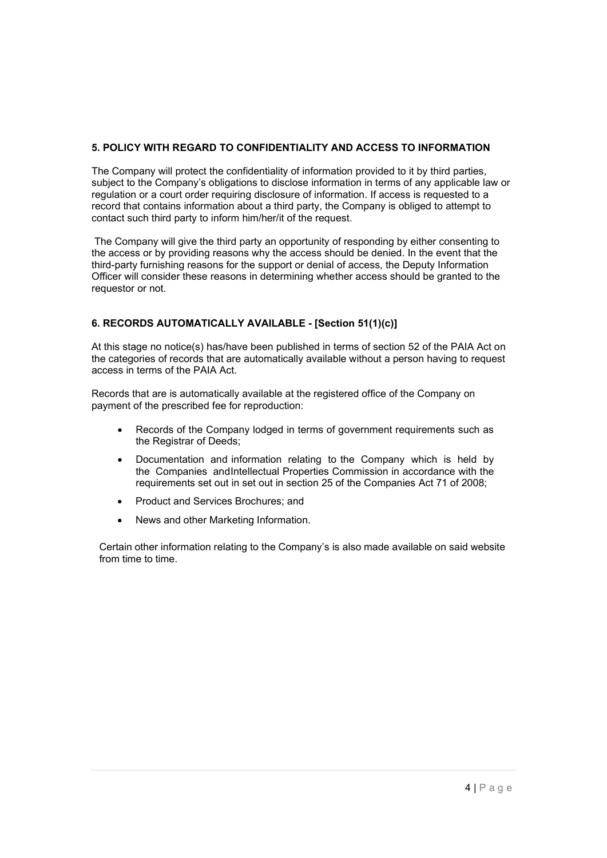# **5. POLICY WITH REGARD TO CONFIDENTIALITY AND ACCESS TO INFORMATION**

The Company will protect the confidentiality of information provided to it by third parties, subject to the Company's obligations to disclose information in terms of any applicable law or regulation or a court order requiring disclosure of information. If access is requested to a record that contains information about a third party, the Company is obliged to attempt to contact such third party to inform him/her/it of the request.

The Company will give the third party an opportunity of responding by either consenting to the access or by providing reasons why the access should be denied. In the event that the third-party furnishing reasons for the support or denial of access, the Deputy Information Officer will consider these reasons in determining whether access should be granted to the requestor or not.

# **6. RECORDS AUTOMATICALLY AVAILABLE - [Section 51(1)(c)]**

At this stage no notice(s) has/have been published in terms of section 52 of the PAIA Act on the categories of records that are automatically available without a person having to request access in terms of the PAIA Act.

Records that are is automatically available at the registered office of the Company on payment of the prescribed fee for reproduction:

- Records of the Company lodged in terms of government requirements such as the Registrar of Deeds;
- Documentation and information relating to the Company which is held by the Companies andIntellectual Properties Commission in accordance with the requirements set out in set out in section 25 of the Companies Act 71 of 2008;
- Product and Services Brochures; and
- News and other Marketing Information.

Certain other information relating to the Company's is also made available on said website from time to time.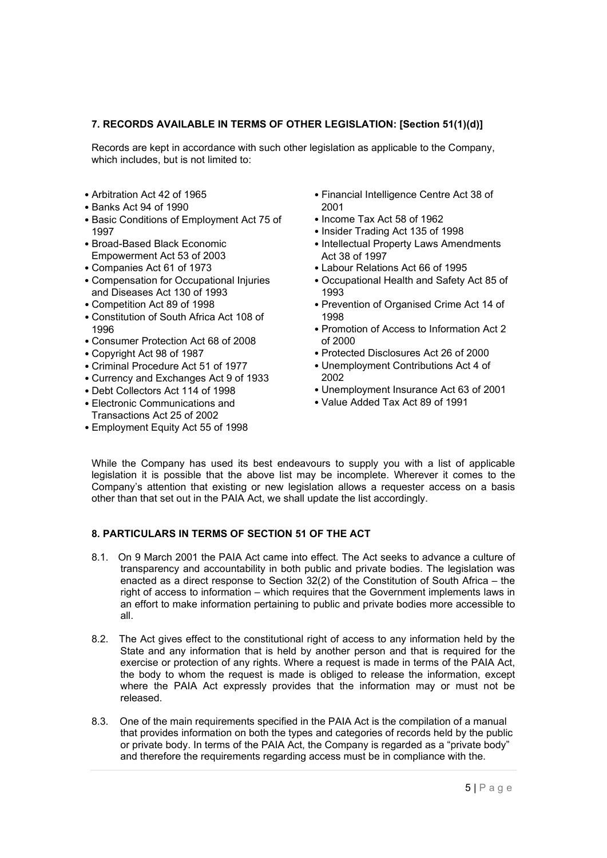# **7. RECORDS AVAILABLE IN TERMS OF OTHER LEGISLATION: [Section 51(1)(d)]**

Records are kept in accordance with such other legislation as applicable to the Company, which includes, but is not limited to:

- Arbitration Act 42 of 1965
- Banks Act 94 of 1990
- Basic Conditions of Employment Act 75 of 1997
- Broad-Based Black Economic Empowerment Act 53 of 2003
- Companies Act 61 of 1973
- Compensation for Occupational Injuries and Diseases Act 130 of 1993
- Competition Act 89 of 1998
- Constitution of South Africa Act 108 of 1996
- Consumer Protection Act 68 of 2008
- Copyright Act 98 of 1987
- Criminal Procedure Act 51 of 1977
- Currency and Exchanges Act 9 of 1933
- Debt Collectors Act 114 of 1998
- Electronic Communications and Transactions Act 25 of 2002
- Employment Equity Act 55 of 1998
- Financial Intelligence Centre Act 38 of 2001
- Income Tax Act 58 of 1962
- Insider Trading Act 135 of 1998
- Intellectual Property Laws Amendments Act 38 of 1997
- Labour Relations Act 66 of 1995
- Occupational Health and Safety Act 85 of 1993
- Prevention of Organised Crime Act 14 of 1998
- Promotion of Access to Information Act 2 of 2000
- Protected Disclosures Act 26 of 2000
- Unemployment Contributions Act 4 of 2002
- Unemployment Insurance Act 63 of 2001
- Value Added Tax Act 89 of 1991

While the Company has used its best endeavours to supply you with a list of applicable legislation it is possible that the above list may be incomplete. Wherever it comes to the Company's attention that existing or new legislation allows a requester access on a basis other than that set out in the PAIA Act, we shall update the list accordingly.

# **8. PARTICULARS IN TERMS OF SECTION 51 OF THE ACT**

- 8.1. On 9 March 2001 the PAIA Act came into effect. The Act seeks to advance a culture of transparency and accountability in both public and private bodies. The legislation was enacted as a direct response to Section 32(2) of the Constitution of South Africa – the right of access to information – which requires that the Government implements laws in an effort to make information pertaining to public and private bodies more accessible to all.
- 8.2. The Act gives effect to the constitutional right of access to any information held by the State and any information that is held by another person and that is required for the exercise or protection of any rights. Where a request is made in terms of the PAIA Act, the body to whom the request is made is obliged to release the information, except where the PAIA Act expressly provides that the information may or must not be released.
- 8.3. One of the main requirements specified in the PAIA Act is the compilation of a manual that provides information on both the types and categories of records held by the public or private body. In terms of the PAIA Act, the Company is regarded as a "private body" and therefore the requirements regarding access must be in compliance with the.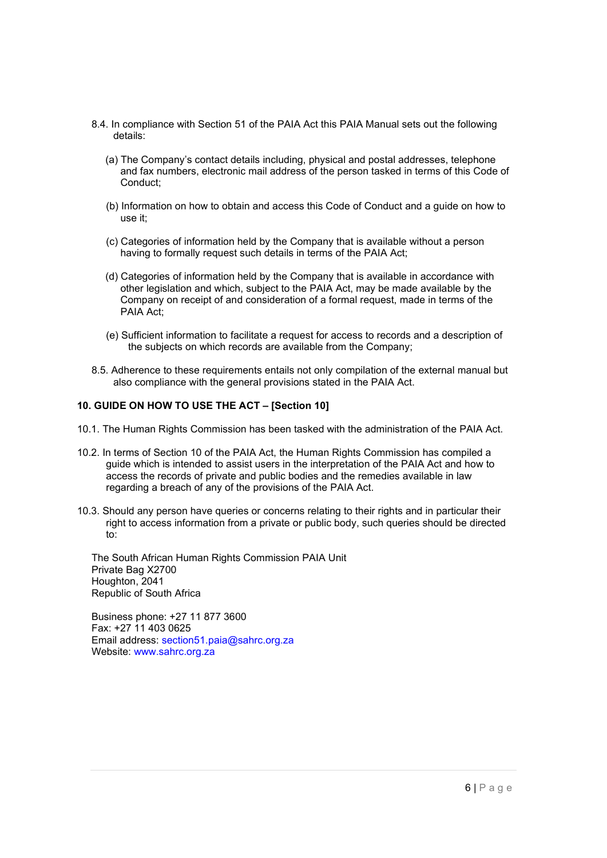- 8.4. In compliance with Section 51 of the PAIA Act this PAIA Manual sets out the following details:
	- (a) The Company's contact details including, physical and postal addresses, telephone and fax numbers, electronic mail address of the person tasked in terms of this Code of Conduct;
	- (b) Information on how to obtain and access this Code of Conduct and a guide on how to use it;
	- (c) Categories of information held by the Company that is available without a person having to formally request such details in terms of the PAIA Act;
	- (d) Categories of information held by the Company that is available in accordance with other legislation and which, subject to the PAIA Act, may be made available by the Company on receipt of and consideration of a formal request, made in terms of the PAIA Act;
	- (e) Sufficient information to facilitate a request for access to records and a description of the subjects on which records are available from the Company;
- 8.5. Adherence to these requirements entails not only compilation of the external manual but also compliance with the general provisions stated in the PAIA Act.

#### **10. GUIDE ON HOW TO USE THE ACT – [Section 10]**

- 10.1. The Human Rights Commission has been tasked with the administration of the PAIA Act.
- 10.2. In terms of Section 10 of the PAIA Act, the Human Rights Commission has compiled a guide which is intended to assist users in the interpretation of the PAIA Act and how to access the records of private and public bodies and the remedies available in law regarding a breach of any of the provisions of the PAIA Act.
- 10.3. Should any person have queries or concerns relating to their rights and in particular their right to access information from a private or public body, such queries should be directed to:

The South African Human Rights Commission PAIA Unit Private Bag X2700 Houghton, 2041 Republic of South Africa

Business phone: +27 11 877 3600 Fax: +27 11 403 0625 Email address: section51.paia@sahrc.org.za Website: www.sahrc.org.za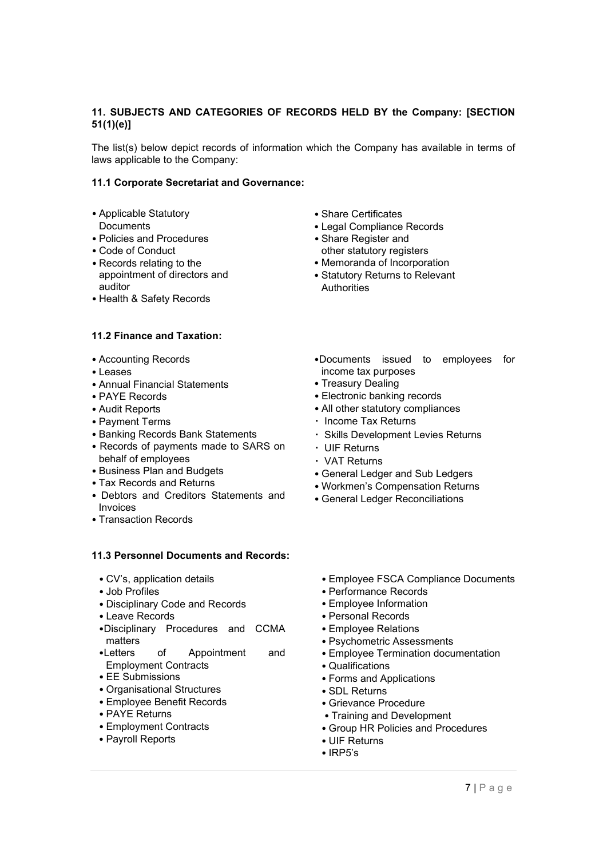# **11. SUBJECTS AND CATEGORIES OF RECORDS HELD BY the Company: [SECTION 51(1)(e)]**

The list(s) below depict records of information which the Company has available in terms of laws applicable to the Company:

#### **11.1 Corporate Secretariat and Governance:**

- Applicable Statutory
- **Documents**
- Policies and Procedures
- Code of Conduct
- Records relating to the appointment of directors and auditor
- Health & Safety Records

#### **11.2 Finance and Taxation:**

- Accounting Records
- Leases
- Annual Financial Statements
- PAYE Records
- Audit Reports
- Payment Terms
- Banking Records Bank Statements
- Records of payments made to SARS on behalf of employees
- Business Plan and Budgets
- Tax Records and Returns
- Debtors and Creditors Statements and Invoices
- Transaction Records

## **11.3 Personnel Documents and Records:**

- CV's, application details
- Job Profiles
- Disciplinary Code and Records
- Leave Records
- •Disciplinary Procedures and CCMA matters
- •Letters of Appointment and Employment Contracts
- EE Submissions
- Organisational Structures
- Employee Benefit Records
- PAYE Returns
- Employment Contracts
- Payroll Reports
- Share Certificates
- Legal Compliance Records
- Share Register and other statutory registers
- Memoranda of Incorporation
- Statutory Returns to Relevant Authorities
- •Documents issued to employees for income tax purposes
- Treasury Dealing
- Electronic banking records
- All other statutory compliances
- Income Tax Returns
- Skills Development Levies Returns
- UIF Returns
- VAT Returns
- General Ledger and Sub Ledgers
- Workmen's Compensation Returns
- General Ledger Reconciliations
	- Employee FSCA Compliance Documents
	- Performance Records
	- Employee Information
	- Personal Records
	- Employee Relations
	- Psychometric Assessments
	- Employee Termination documentation
	- Qualifications
	- Forms and Applications
	- SDL Returns
	- Grievance Procedure
	- Training and Development
- Group HR Policies and Procedures
- UIF Returns
- IRP5's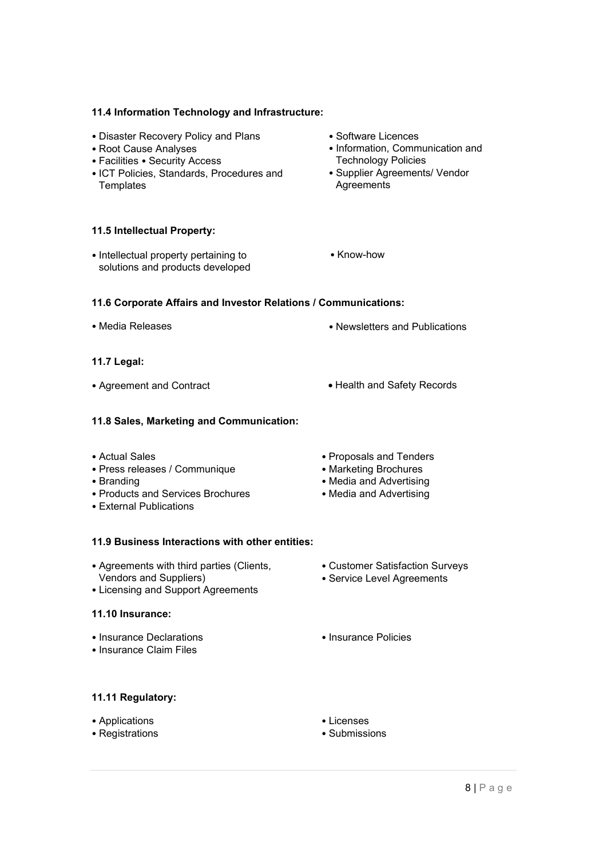#### **11.4 Information Technology and Infrastructure:**

- Disaster Recovery Policy and Plans
- Root Cause Analyses
- Facilities Security Access
- ICT Policies, Standards, Procedures and **Templates**

#### **11.5 Intellectual Property:**

• Intellectual property pertaining to solutions and products developed • Software Licences

• Know-how

- Information, Communication and Technology Policies
- Supplier Agreements/ Vendor **Agreements**

#### **11.6 Corporate Affairs and Investor Relations / Communications:**

- Media Releases Newsletters and Publications
- **11.7 Legal:**
- Agreement and Contract  **Health and Safety Records**
- 

## **11.8 Sales, Marketing and Communication:**

- Actual Sales
- Press releases / Communique
- Branding
- Products and Services Brochures
- External Publications
- **11.9 Business Interactions with other entities:**
- Agreements with third parties (Clients, Vendors and Suppliers)
- Licensing and Support Agreements

#### **11.10 Insurance:**

- Insurance Declarations
- Insurance Claim Files

• Proposals and Tenders • Marketing Brochures • Media and Advertising • Media and Advertising

- Customer Satisfaction Surveys
- Service Level Agreements
- Insurance Policies

#### **11.11 Regulatory:**

• Applications

# • Registrations

- Licenses
- Submissions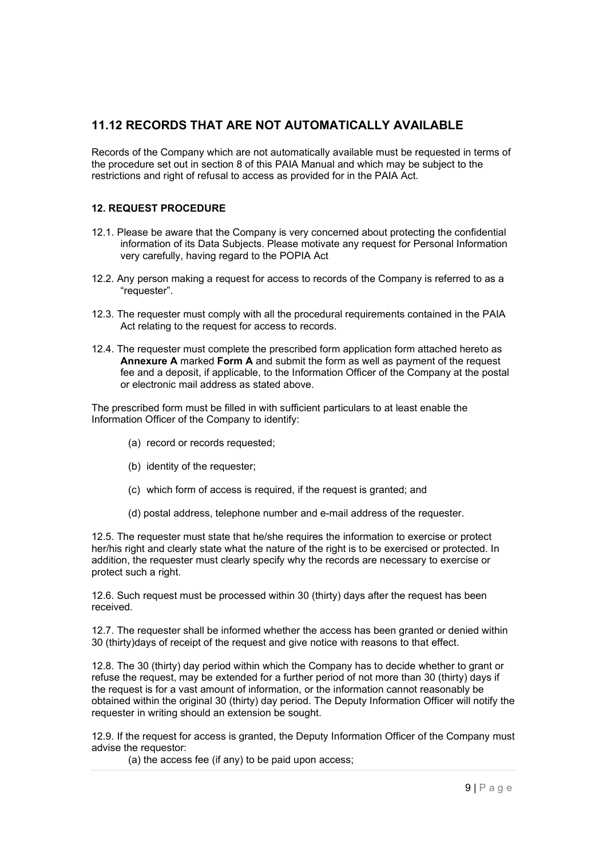# **11.12 RECORDS THAT ARE NOT AUTOMATICALLY AVAILABLE**

Records of the Company which are not automatically available must be requested in terms of the procedure set out in section 8 of this PAIA Manual and which may be subject to the restrictions and right of refusal to access as provided for in the PAIA Act.

# **12. REQUEST PROCEDURE**

- 12.1. Please be aware that the Company is very concerned about protecting the confidential information of its Data Subjects. Please motivate any request for Personal Information very carefully, having regard to the POPIA Act
- 12.2. Any person making a request for access to records of the Company is referred to as a "requester".
- 12.3. The requester must comply with all the procedural requirements contained in the PAIA Act relating to the request for access to records.
- 12.4. The requester must complete the prescribed form application form attached hereto as **Annexure A** marked **Form A** and submit the form as well as payment of the request fee and a deposit, if applicable, to the Information Officer of the Company at the postal or electronic mail address as stated above.

The prescribed form must be filled in with sufficient particulars to at least enable the Information Officer of the Company to identify:

- (a) record or records requested;
- (b) identity of the requester;
- (c) which form of access is required, if the request is granted; and
- (d) postal address, telephone number and e-mail address of the requester.

12.5. The requester must state that he/she requires the information to exercise or protect her/his right and clearly state what the nature of the right is to be exercised or protected. In addition, the requester must clearly specify why the records are necessary to exercise or protect such a right.

12.6. Such request must be processed within 30 (thirty) days after the request has been received.

12.7. The requester shall be informed whether the access has been granted or denied within 30 (thirty)days of receipt of the request and give notice with reasons to that effect.

12.8. The 30 (thirty) day period within which the Company has to decide whether to grant or refuse the request, may be extended for a further period of not more than 30 (thirty) days if the request is for a vast amount of information, or the information cannot reasonably be obtained within the original 30 (thirty) day period. The Deputy Information Officer will notify the requester in writing should an extension be sought.

12.9. If the request for access is granted, the Deputy Information Officer of the Company must advise the requestor:

(a) the access fee (if any) to be paid upon access;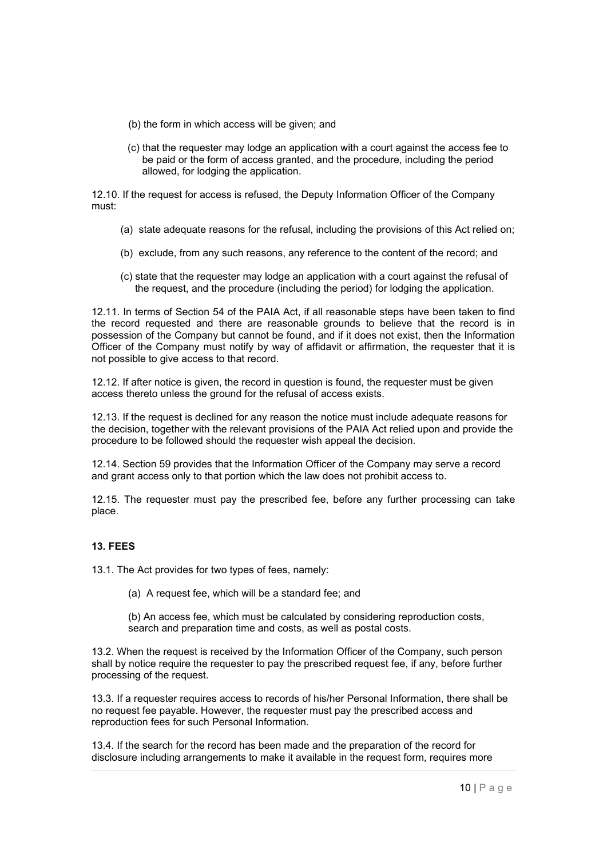- (b) the form in which access will be given; and
- (c) that the requester may lodge an application with a court against the access fee to be paid or the form of access granted, and the procedure, including the period allowed, for lodging the application.

12.10. If the request for access is refused, the Deputy Information Officer of the Company must:

- (a) state adequate reasons for the refusal, including the provisions of this Act relied on;
- (b) exclude, from any such reasons, any reference to the content of the record; and
- (c) state that the requester may lodge an application with a court against the refusal of the request, and the procedure (including the period) for lodging the application.

12.11. In terms of Section 54 of the PAIA Act, if all reasonable steps have been taken to find the record requested and there are reasonable grounds to believe that the record is in possession of the Company but cannot be found, and if it does not exist, then the Information Officer of the Company must notify by way of affidavit or affirmation, the requester that it is not possible to give access to that record.

12.12. If after notice is given, the record in question is found, the requester must be given access thereto unless the ground for the refusal of access exists.

12.13. If the request is declined for any reason the notice must include adequate reasons for the decision, together with the relevant provisions of the PAIA Act relied upon and provide the procedure to be followed should the requester wish appeal the decision.

12.14. Section 59 provides that the Information Officer of the Company may serve a record and grant access only to that portion which the law does not prohibit access to.

12.15. The requester must pay the prescribed fee, before any further processing can take place.

# **13. FEES**

13.1. The Act provides for two types of fees, namely:

(a) A request fee, which will be a standard fee; and

(b) An access fee, which must be calculated by considering reproduction costs, search and preparation time and costs, as well as postal costs.

13.2. When the request is received by the Information Officer of the Company, such person shall by notice require the requester to pay the prescribed request fee, if any, before further processing of the request.

13.3. If a requester requires access to records of his/her Personal Information, there shall be no request fee payable. However, the requester must pay the prescribed access and reproduction fees for such Personal Information.

13.4. If the search for the record has been made and the preparation of the record for disclosure including arrangements to make it available in the request form, requires more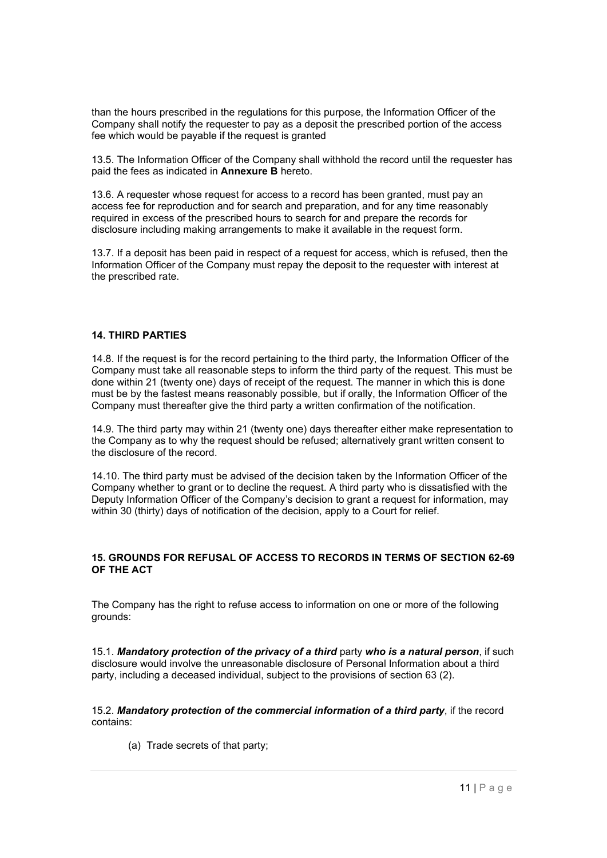than the hours prescribed in the regulations for this purpose, the Information Officer of the Company shall notify the requester to pay as a deposit the prescribed portion of the access fee which would be payable if the request is granted

13.5. The Information Officer of the Company shall withhold the record until the requester has paid the fees as indicated in **Annexure B** hereto.

13.6. A requester whose request for access to a record has been granted, must pay an access fee for reproduction and for search and preparation, and for any time reasonably required in excess of the prescribed hours to search for and prepare the records for disclosure including making arrangements to make it available in the request form.

13.7. If a deposit has been paid in respect of a request for access, which is refused, then the Information Officer of the Company must repay the deposit to the requester with interest at the prescribed rate.

#### **14. THIRD PARTIES**

14.8. If the request is for the record pertaining to the third party, the Information Officer of the Company must take all reasonable steps to inform the third party of the request. This must be done within 21 (twenty one) days of receipt of the request. The manner in which this is done must be by the fastest means reasonably possible, but if orally, the Information Officer of the Company must thereafter give the third party a written confirmation of the notification.

14.9. The third party may within 21 (twenty one) days thereafter either make representation to the Company as to why the request should be refused; alternatively grant written consent to the disclosure of the record.

14.10. The third party must be advised of the decision taken by the Information Officer of the Company whether to grant or to decline the request. A third party who is dissatisfied with the Deputy Information Officer of the Company's decision to grant a request for information, may within 30 (thirty) days of notification of the decision, apply to a Court for relief.

#### **15. GROUNDS FOR REFUSAL OF ACCESS TO RECORDS IN TERMS OF SECTION 62-69 OF THE ACT**

The Company has the right to refuse access to information on one or more of the following grounds:

15.1. Mandatory protection of the privacy of a third party who is a natural person, if such disclosure would involve the unreasonable disclosure of Personal Information about a third party, including a deceased individual, subject to the provisions of section 63 (2).

15.2. *Mandatory protection of the commercial information of a third party*, if the record contains:

(a) Trade secrets of that party;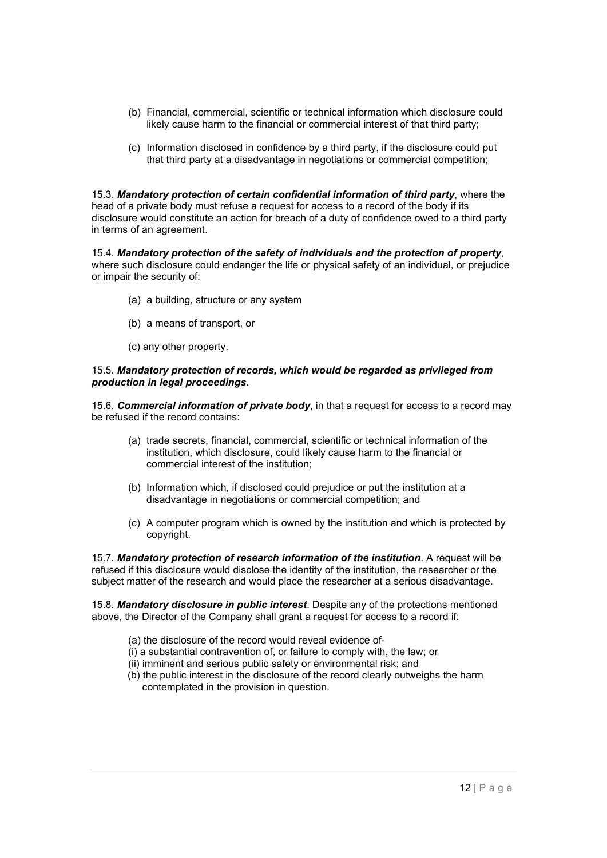- (b) Financial, commercial, scientific or technical information which disclosure could likely cause harm to the financial or commercial interest of that third party;
- (c) Information disclosed in confidence by a third party, if the disclosure could put that third party at a disadvantage in negotiations or commercial competition;

15.3. *Mandatory protection of certain confidential information of third party*, where the head of a private body must refuse a request for access to a record of the body if its disclosure would constitute an action for breach of a duty of confidence owed to a third party in terms of an agreement.

15.4. *Mandatory protection of the safety of individuals and the protection of property*, where such disclosure could endanger the life or physical safety of an individual, or prejudice or impair the security of:

- (a) a building, structure or any system
- (b) a means of transport, or
- (c) any other property.

#### 15.5. *Mandatory protection of records, which would be regarded as privileged from production in legal proceedings*.

15.6. *Commercial information of private body*, in that a request for access to a record may be refused if the record contains:

- (a) trade secrets, financial, commercial, scientific or technical information of the institution, which disclosure, could likely cause harm to the financial or commercial interest of the institution;
- (b) Information which, if disclosed could prejudice or put the institution at a disadvantage in negotiations or commercial competition; and
- (c) A computer program which is owned by the institution and which is protected by copyright.

15.7. *Mandatory protection of research information of the institution*. A request will be refused if this disclosure would disclose the identity of the institution, the researcher or the subject matter of the research and would place the researcher at a serious disadvantage.

15.8. *Mandatory disclosure in public interest*. Despite any of the protections mentioned above, the Director of the Company shall grant a request for access to a record if:

- (a) the disclosure of the record would reveal evidence of-
- (i) a substantial contravention of, or failure to comply with, the law; or
- (ii) imminent and serious public safety or environmental risk; and
- (b) the public interest in the disclosure of the record clearly outweighs the harm contemplated in the provision in question.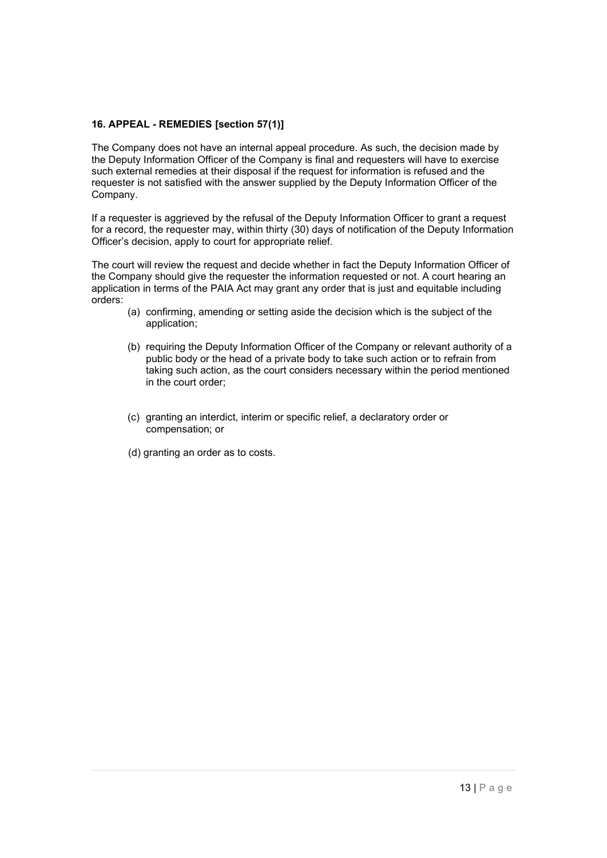# **16. APPEAL - REMEDIES [section 57(1)]**

The Company does not have an internal appeal procedure. As such, the decision made by the Deputy Information Officer of the Company is final and requesters will have to exercise such external remedies at their disposal if the request for information is refused and the requester is not satisfied with the answer supplied by the Deputy Information Officer of the Company.

If a requester is aggrieved by the refusal of the Deputy Information Officer to grant a request for a record, the requester may, within thirty (30) days of notification of the Deputy Information Officer's decision, apply to court for appropriate relief.

The court will review the request and decide whether in fact the Deputy Information Officer of the Company should give the requester the information requested or not. A court hearing an application in terms of the PAIA Act may grant any order that is just and equitable including orders:

- (a) confirming, amending or setting aside the decision which is the subject of the application;
- (b) requiring the Deputy Information Officer of the Company or relevant authority of a public body or the head of a private body to take such action or to refrain from taking such action, as the court considers necessary within the period mentioned in the court order;
- (c) granting an interdict, interim or specific relief, a declaratory order or compensation; or
- (d) granting an order as to costs.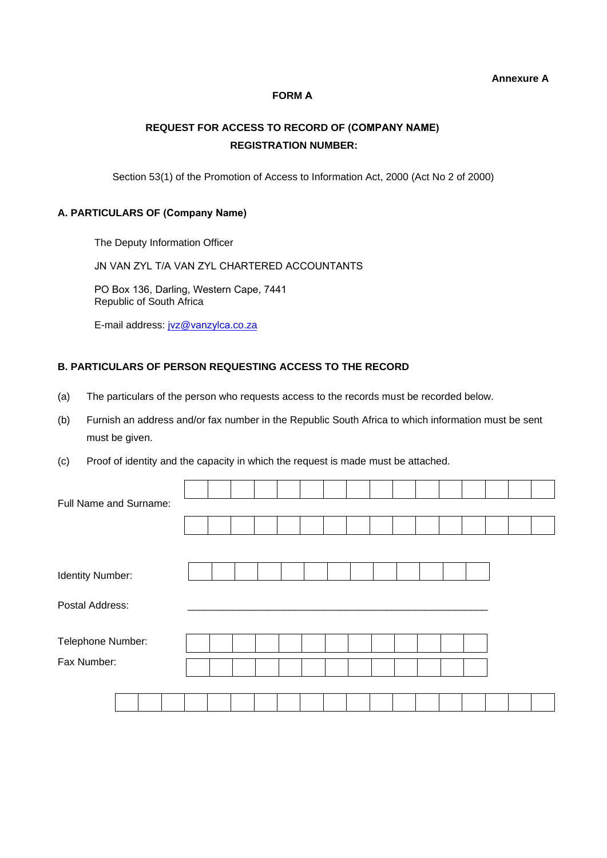#### **Annexure A**

## **FORM A**

# **REQUEST FOR ACCESS TO RECORD OF (COMPANY NAME) REGISTRATION NUMBER:**

Section 53(1) of the Promotion of Access to Information Act, 2000 (Act No 2 of 2000)

#### **A. PARTICULARS OF (Company Name)**

The Deputy Information Officer

JN VAN ZYL T/A VAN ZYL CHARTERED ACCOUNTANTS

PO Box 136, Darling, Western Cape, 7441 Republic of South Africa

E-mail address: jvz@[vanzylca](mailto:PAIA@treasuryone.co.za).co.za

#### **B. PARTICULARS OF PERSON REQUESTING ACCESS TO THE RECORD**

- (a) The particulars of the person who requests access to the records must be recorded below.
- (b) Furnish an address and/or fax number in the Republic South Africa to which information must be sent must be given.
- (c) Proof of identity and the capacity in which the request is made must be attached.

| Full Name and Surname: |  |  |  |  |  |  |  |  |  |  |  |  |
|------------------------|--|--|--|--|--|--|--|--|--|--|--|--|
|                        |  |  |  |  |  |  |  |  |  |  |  |  |
|                        |  |  |  |  |  |  |  |  |  |  |  |  |
| Identity Number:       |  |  |  |  |  |  |  |  |  |  |  |  |
| Postal Address:        |  |  |  |  |  |  |  |  |  |  |  |  |
| Telephone Number:      |  |  |  |  |  |  |  |  |  |  |  |  |
| Fax Number:            |  |  |  |  |  |  |  |  |  |  |  |  |
|                        |  |  |  |  |  |  |  |  |  |  |  |  |
|                        |  |  |  |  |  |  |  |  |  |  |  |  |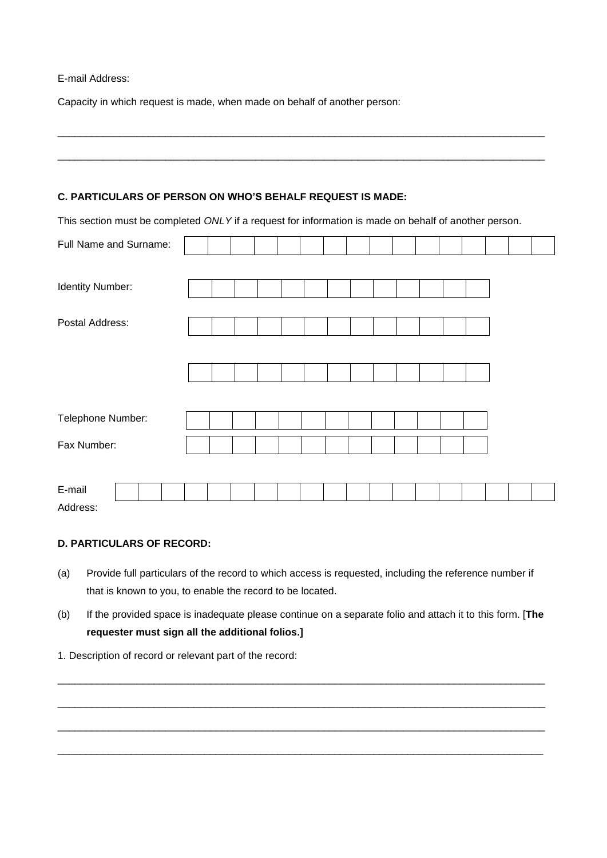#### E-mail Address:

Capacity in which request is made, when made on behalf of another person:

# **C. PARTICULARS OF PERSON ON WHO'S BEHALF REQUEST IS MADE:**

This section must be completed *ONLY* if a request for information is made on behalf of another person.

\_\_\_\_\_\_\_\_\_\_\_\_\_\_\_\_\_\_\_\_\_\_\_\_\_\_\_\_\_\_\_\_\_\_\_\_\_\_\_\_\_\_\_\_\_\_\_\_\_\_\_\_\_\_\_\_\_\_\_\_\_\_\_\_\_\_\_\_\_\_\_\_\_\_\_\_\_\_\_\_\_\_\_\_\_\_

\_\_\_\_\_\_\_\_\_\_\_\_\_\_\_\_\_\_\_\_\_\_\_\_\_\_\_\_\_\_\_\_\_\_\_\_\_\_\_\_\_\_\_\_\_\_\_\_\_\_\_\_\_\_\_\_\_\_\_\_\_\_\_\_\_\_\_\_\_\_\_\_\_\_\_\_\_\_\_\_\_\_\_\_\_\_

| Full Name and Surname: |  |  |  |  |  |  |  |  |
|------------------------|--|--|--|--|--|--|--|--|
|                        |  |  |  |  |  |  |  |  |
| Identity Number:       |  |  |  |  |  |  |  |  |
|                        |  |  |  |  |  |  |  |  |
| Postal Address:        |  |  |  |  |  |  |  |  |
|                        |  |  |  |  |  |  |  |  |
|                        |  |  |  |  |  |  |  |  |
|                        |  |  |  |  |  |  |  |  |
|                        |  |  |  |  |  |  |  |  |
| Telephone Number:      |  |  |  |  |  |  |  |  |
| Fax Number:            |  |  |  |  |  |  |  |  |
|                        |  |  |  |  |  |  |  |  |
| E-mail                 |  |  |  |  |  |  |  |  |
| Address:               |  |  |  |  |  |  |  |  |

## **D. PARTICULARS OF RECORD:**

- (a) Provide full particulars of the record to which access is requested, including the reference number if that is known to you, to enable the record to be located.
- (b) If the provided space is inadequate please continue on a separate folio and attach it to this form. [**The requester must sign all the additional folios.]**

\_\_\_\_\_\_\_\_\_\_\_\_\_\_\_\_\_\_\_\_\_\_\_\_\_\_\_\_\_\_\_\_\_\_\_\_\_\_\_\_\_\_\_\_\_\_\_\_\_\_\_\_\_\_\_\_\_\_\_\_\_\_\_\_\_\_\_\_\_\_\_\_\_\_\_\_\_\_\_\_\_\_\_\_\_\_

\_\_\_\_\_\_\_\_\_\_\_\_\_\_\_\_\_\_\_\_\_\_\_\_\_\_\_\_\_\_\_\_\_\_\_\_\_\_\_\_\_\_\_\_\_\_\_\_\_\_\_\_\_\_\_\_\_\_\_\_\_\_\_\_\_\_\_\_\_\_\_\_\_\_\_\_\_\_\_\_\_\_\_\_\_\_

\_\_\_\_\_\_\_\_\_\_\_\_\_\_\_\_\_\_\_\_\_\_\_\_\_\_\_\_\_\_\_\_\_\_\_\_\_\_\_\_\_\_\_\_\_\_\_\_\_\_\_\_\_\_\_\_\_\_\_\_\_\_\_\_\_\_\_\_\_\_\_\_\_\_\_\_\_\_\_\_\_\_\_\_\_\_

\_\_\_\_\_\_\_\_\_\_\_\_\_\_\_\_\_\_\_\_\_\_\_\_\_\_\_\_\_\_\_\_\_\_\_\_\_\_\_\_\_\_\_\_\_\_\_\_\_\_\_\_\_\_\_\_\_\_\_\_\_\_\_\_\_\_\_\_\_\_\_\_\_\_\_\_\_\_\_\_\_\_\_\_\_\_

1. Description of record or relevant part of the record: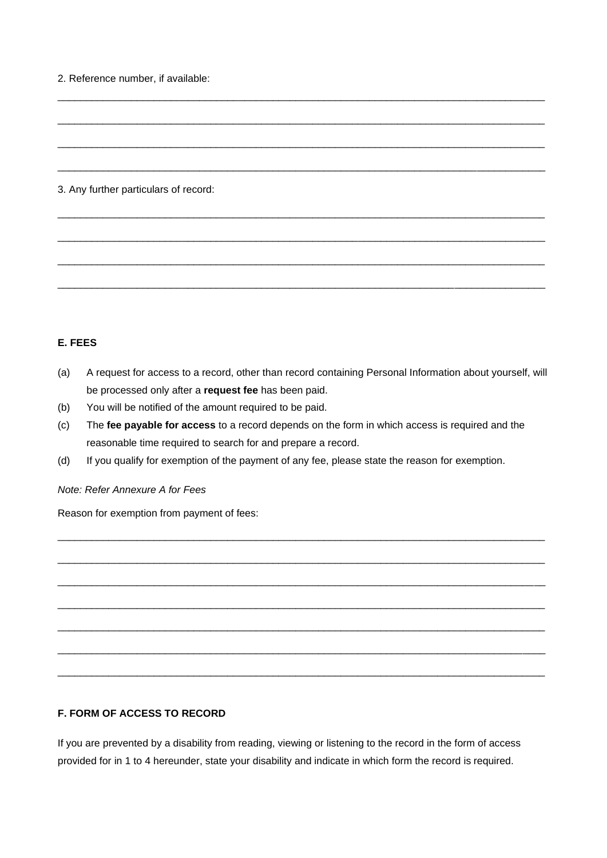2. Reference number, if available:

## 3. Any further particulars of record:

# **E. FEES**

(a) A request for access to a record, other than record containing Personal Information about yourself, will be processed only after a **request fee** has been paid.

\_\_\_\_\_\_\_\_\_\_\_\_\_\_\_\_\_\_\_\_\_\_\_\_\_\_\_\_\_\_\_\_\_\_\_\_\_\_\_\_\_\_\_\_\_\_\_\_\_\_\_\_\_\_\_\_\_\_\_\_\_\_\_\_\_\_\_\_\_\_\_\_\_\_\_\_\_\_\_\_\_\_\_\_\_\_

\_\_\_\_\_\_\_\_\_\_\_\_\_\_\_\_\_\_\_\_\_\_\_\_\_\_\_\_\_\_\_\_\_\_\_\_\_\_\_\_\_\_\_\_\_\_\_\_\_\_\_\_\_\_\_\_\_\_\_\_\_\_\_\_\_\_\_\_\_\_\_\_\_\_\_\_\_\_\_\_\_\_\_\_\_\_

\_\_\_\_\_\_\_\_\_\_\_\_\_\_\_\_\_\_\_\_\_\_\_\_\_\_\_\_\_\_\_\_\_\_\_\_\_\_\_\_\_\_\_\_\_\_\_\_\_\_\_\_\_\_\_\_\_\_\_\_\_\_\_\_\_\_\_\_\_\_\_\_\_\_\_\_\_\_\_\_\_\_\_\_\_\_

\_\_\_\_\_\_\_\_\_\_\_\_\_\_\_\_\_\_\_\_\_\_\_\_\_\_\_\_\_\_\_\_\_\_\_\_\_\_\_\_\_\_\_\_\_\_\_\_\_\_\_\_\_\_\_\_\_\_\_\_\_\_\_\_\_\_\_\_\_\_\_\_\_\_\_\_\_\_\_\_\_\_\_\_\_\_

\_\_\_\_\_\_\_\_\_\_\_\_\_\_\_\_\_\_\_\_\_\_\_\_\_\_\_\_\_\_\_\_\_\_\_\_\_\_\_\_\_\_\_\_\_\_\_\_\_\_\_\_\_\_\_\_\_\_\_\_\_\_\_\_\_\_\_\_\_\_\_\_\_\_\_\_\_\_\_\_\_\_\_\_\_\_

\_\_\_\_\_\_\_\_\_\_\_\_\_\_\_\_\_\_\_\_\_\_\_\_\_\_\_\_\_\_\_\_\_\_\_\_\_\_\_\_\_\_\_\_\_\_\_\_\_\_\_\_\_\_\_\_\_\_\_\_\_\_\_\_\_\_\_\_\_\_\_\_\_\_\_\_\_\_\_\_\_\_\_\_\_\_

\_\_\_\_\_\_\_\_\_\_\_\_\_\_\_\_\_\_\_\_\_\_\_\_\_\_\_\_\_\_\_\_\_\_\_\_\_\_\_\_\_\_\_\_\_\_\_\_\_\_\_\_\_\_\_\_\_\_\_\_\_\_\_\_\_\_\_\_\_\_\_\_\_\_\_\_\_\_\_\_\_\_\_\_\_\_

\_\_\_\_\_\_\_\_\_\_\_\_\_\_\_\_\_\_\_\_\_\_\_\_\_\_\_\_\_\_\_\_\_\_\_\_\_\_\_\_\_\_\_\_\_\_\_\_\_\_\_\_\_\_\_\_\_\_\_\_\_\_\_\_\_\_\_\_\_\_\_\_\_\_\_\_\_\_\_\_\_\_\_\_\_\_

- (b) You will be notified of the amount required to be paid.
- (c) The **fee payable for access** to a record depends on the form in which access is required and the reasonable time required to search for and prepare a record.

\_\_\_\_\_\_\_\_\_\_\_\_\_\_\_\_\_\_\_\_\_\_\_\_\_\_\_\_\_\_\_\_\_\_\_\_\_\_\_\_\_\_\_\_\_\_\_\_\_\_\_\_\_\_\_\_\_\_\_\_\_\_\_\_\_\_\_\_\_\_\_\_\_\_\_\_\_\_\_\_\_\_\_\_\_\_

\_\_\_\_\_\_\_\_\_\_\_\_\_\_\_\_\_\_\_\_\_\_\_\_\_\_\_\_\_\_\_\_\_\_\_\_\_\_\_\_\_\_\_\_\_\_\_\_\_\_\_\_\_\_\_\_\_\_\_\_\_\_\_\_\_\_\_\_\_\_\_\_\_\_\_\_\_\_\_\_\_\_\_\_\_\_

\_\_\_\_\_\_\_\_\_\_\_\_\_\_\_\_\_\_\_\_\_\_\_\_\_\_\_\_\_\_\_\_\_\_\_\_\_\_\_\_\_\_\_\_\_\_\_\_\_\_\_\_\_\_\_\_\_\_\_\_\_\_\_\_\_\_\_\_\_\_\_\_\_\_\_\_\_\_\_\_\_\_\_\_\_\_

\_\_\_\_\_\_\_\_\_\_\_\_\_\_\_\_\_\_\_\_\_\_\_\_\_\_\_\_\_\_\_\_\_\_\_\_\_\_\_\_\_\_\_\_\_\_\_\_\_\_\_\_\_\_\_\_\_\_\_\_\_\_\_\_\_\_\_\_\_\_\_\_\_\_\_\_\_\_\_\_\_\_\_\_\_\_

\_\_\_\_\_\_\_\_\_\_\_\_\_\_\_\_\_\_\_\_\_\_\_\_\_\_\_\_\_\_\_\_\_\_\_\_\_\_\_\_\_\_\_\_\_\_\_\_\_\_\_\_\_\_\_\_\_\_\_\_\_\_\_\_\_\_\_\_\_\_\_\_\_\_\_\_\_\_\_\_\_\_\_\_\_\_

\_\_\_\_\_\_\_\_\_\_\_\_\_\_\_\_\_\_\_\_\_\_\_\_\_\_\_\_\_\_\_\_\_\_\_\_\_\_\_\_\_\_\_\_\_\_\_\_\_\_\_\_\_\_\_\_\_\_\_\_\_\_\_\_\_\_\_\_\_\_\_\_\_\_\_\_\_\_\_\_\_\_\_\_\_\_

\_\_\_\_\_\_\_\_\_\_\_\_\_\_\_\_\_\_\_\_\_\_\_\_\_\_\_\_\_\_\_\_\_\_\_\_\_\_\_\_\_\_\_\_\_\_\_\_\_\_\_\_\_\_\_\_\_\_\_\_\_\_\_\_\_\_\_\_\_\_\_\_\_\_\_\_\_\_\_\_\_\_\_\_\_\_

(d) If you qualify for exemption of the payment of any fee, please state the reason for exemption.

#### *Note: Refer Annexure A for Fees*

Reason for exemption from payment of fees:

# **F. FORM OF ACCESS TO RECORD**

If you are prevented by a disability from reading, viewing or listening to the record in the form of access provided for in 1 to 4 hereunder, state your disability and indicate in which form the record is required.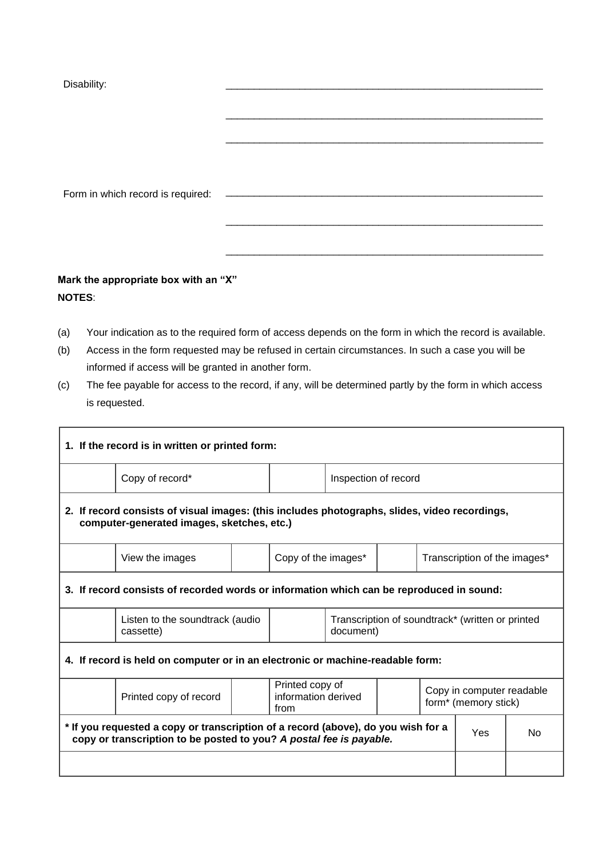| Disability:                       |  |  |
|-----------------------------------|--|--|
|                                   |  |  |
|                                   |  |  |
|                                   |  |  |
|                                   |  |  |
|                                   |  |  |
|                                   |  |  |
|                                   |  |  |
| Form in which record is required: |  |  |
|                                   |  |  |
|                                   |  |  |
|                                   |  |  |
|                                   |  |  |
|                                   |  |  |
|                                   |  |  |

# **Mark the appropriate box with an "X" NOTES**:

- (a) Your indication as to the required form of access depends on the form in which the record is available.
- (b) Access in the form requested may be refused in certain circumstances. In such a case you will be informed if access will be granted in another form.
- (c) The fee payable for access to the record, if any, will be determined partly by the form in which access is requested.

| 1. If the record is in written or printed form:                                                                                                          |                                                                                          |  |                                                                                                                 |                      |  |  |                                                  |    |  |
|----------------------------------------------------------------------------------------------------------------------------------------------------------|------------------------------------------------------------------------------------------|--|-----------------------------------------------------------------------------------------------------------------|----------------------|--|--|--------------------------------------------------|----|--|
|                                                                                                                                                          | Copy of record*                                                                          |  |                                                                                                                 | Inspection of record |  |  |                                                  |    |  |
| 2. If record consists of visual images: (this includes photographs, slides, video recordings,<br>computer-generated images, sketches, etc.)              |                                                                                          |  |                                                                                                                 |                      |  |  |                                                  |    |  |
|                                                                                                                                                          | View the images                                                                          |  | Copy of the images*                                                                                             |                      |  |  | Transcription of the images*                     |    |  |
|                                                                                                                                                          | 3. If record consists of recorded words or information which can be reproduced in sound: |  |                                                                                                                 |                      |  |  |                                                  |    |  |
|                                                                                                                                                          | Listen to the soundtrack (audio<br>cassette)                                             |  |                                                                                                                 | document)            |  |  | Transcription of soundtrack* (written or printed |    |  |
| 4. If record is held on computer or in an electronic or machine-readable form:                                                                           |                                                                                          |  |                                                                                                                 |                      |  |  |                                                  |    |  |
|                                                                                                                                                          | Printed copy of record                                                                   |  | Printed copy of<br>Copy in computer readable<br>information derived<br>form <sup>*</sup> (memory stick)<br>from |                      |  |  |                                                  |    |  |
| * If you requested a copy or transcription of a record (above), do you wish for a<br>copy or transcription to be posted to you? A postal fee is payable. |                                                                                          |  |                                                                                                                 |                      |  |  | Yes                                              | No |  |
|                                                                                                                                                          |                                                                                          |  |                                                                                                                 |                      |  |  |                                                  |    |  |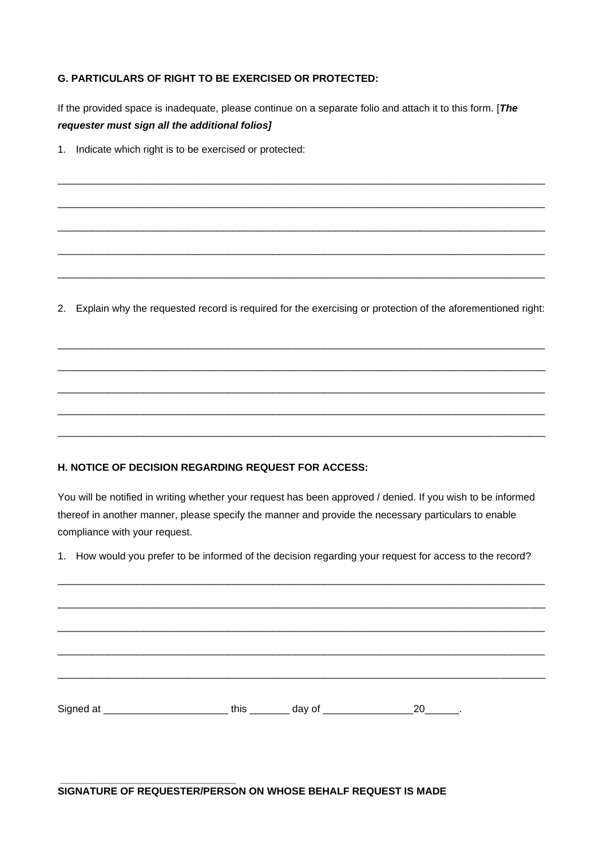# **G. PARTICULARS OF RIGHT TO BE EXERCISED OR PROTECTED:**

If the provided space is inadequate, please continue on a separate folio and attach it to this form. [*The requester must sign all the additional folios]*

\_\_\_\_\_\_\_\_\_\_\_\_\_\_\_\_\_\_\_\_\_\_\_\_\_\_\_\_\_\_\_\_\_\_\_\_\_\_\_\_\_\_\_\_\_\_\_\_\_\_\_\_\_\_\_\_\_\_\_\_\_\_\_\_\_\_\_\_\_\_\_\_\_\_\_\_\_\_\_\_\_\_\_\_\_\_

\_\_\_\_\_\_\_\_\_\_\_\_\_\_\_\_\_\_\_\_\_\_\_\_\_\_\_\_\_\_\_\_\_\_\_\_\_\_\_\_\_\_\_\_\_\_\_\_\_\_\_\_\_\_\_\_\_\_\_\_\_\_\_\_\_\_\_\_\_\_\_\_\_\_\_\_\_\_\_\_\_\_\_\_\_\_

\_\_\_\_\_\_\_\_\_\_\_\_\_\_\_\_\_\_\_\_\_\_\_\_\_\_\_\_\_\_\_\_\_\_\_\_\_\_\_\_\_\_\_\_\_\_\_\_\_\_\_\_\_\_\_\_\_\_\_\_\_\_\_\_\_\_\_\_\_\_\_\_\_\_\_\_\_\_\_\_\_\_\_\_\_\_

\_\_\_\_\_\_\_\_\_\_\_\_\_\_\_\_\_\_\_\_\_\_\_\_\_\_\_\_\_\_\_\_\_\_\_\_\_\_\_\_\_\_\_\_\_\_\_\_\_\_\_\_\_\_\_\_\_\_\_\_\_\_\_\_\_\_\_\_\_\_\_\_\_\_\_\_\_\_\_\_\_\_\_\_\_\_

\_\_\_\_\_\_\_\_\_\_\_\_\_\_\_\_\_\_\_\_\_\_\_\_\_\_\_\_\_\_\_\_\_\_\_\_\_\_\_\_\_\_\_\_\_\_\_\_\_\_\_\_\_\_\_\_\_\_\_\_\_\_\_\_\_\_\_\_\_\_\_\_\_\_\_\_\_\_\_\_\_\_\_\_\_\_

1. Indicate which right is to be exercised or protected:

2. Explain why the requested record is required for the exercising or protection of the aforementioned right:

\_\_\_\_\_\_\_\_\_\_\_\_\_\_\_\_\_\_\_\_\_\_\_\_\_\_\_\_\_\_\_\_\_\_\_\_\_\_\_\_\_\_\_\_\_\_\_\_\_\_\_\_\_\_\_\_\_\_\_\_\_\_\_\_\_\_\_\_\_\_\_\_\_\_\_\_\_\_\_\_\_\_\_\_\_\_

\_\_\_\_\_\_\_\_\_\_\_\_\_\_\_\_\_\_\_\_\_\_\_\_\_\_\_\_\_\_\_\_\_\_\_\_\_\_\_\_\_\_\_\_\_\_\_\_\_\_\_\_\_\_\_\_\_\_\_\_\_\_\_\_\_\_\_\_\_\_\_\_\_\_\_\_\_\_\_\_\_\_\_\_\_\_

\_\_\_\_\_\_\_\_\_\_\_\_\_\_\_\_\_\_\_\_\_\_\_\_\_\_\_\_\_\_\_\_\_\_\_\_\_\_\_\_\_\_\_\_\_\_\_\_\_\_\_\_\_\_\_\_\_\_\_\_\_\_\_\_\_\_\_\_\_\_\_\_\_\_\_\_\_\_\_\_\_\_\_\_\_\_

\_\_\_\_\_\_\_\_\_\_\_\_\_\_\_\_\_\_\_\_\_\_\_\_\_\_\_\_\_\_\_\_\_\_\_\_\_\_\_\_\_\_\_\_\_\_\_\_\_\_\_\_\_\_\_\_\_\_\_\_\_\_\_\_\_\_\_\_\_\_\_\_\_\_\_\_\_\_\_\_\_\_\_\_\_\_

\_\_\_\_\_\_\_\_\_\_\_\_\_\_\_\_\_\_\_\_\_\_\_\_\_\_\_\_\_\_\_\_\_\_\_\_\_\_\_\_\_\_\_\_\_\_\_\_\_\_\_\_\_\_\_\_\_\_\_\_\_\_\_\_\_\_\_\_\_\_\_\_\_\_\_\_\_\_\_\_\_\_\_\_\_\_

# **H. NOTICE OF DECISION REGARDING REQUEST FOR ACCESS:**

You will be notified in writing whether your request has been approved / denied. If you wish to be informed thereof in another manner, please specify the manner and provide the necessary particulars to enable compliance with your request.

1. How would you prefer to be informed of the decision regarding your request for access to the record?

| Signed at _____________________________this __________ day of ____________________20_______. |  |  |
|----------------------------------------------------------------------------------------------|--|--|

#### **\_\_\_\_\_\_\_\_\_\_\_\_\_\_\_\_\_\_\_\_\_\_\_\_\_\_\_\_\_\_\_ SIGNATURE OF REQUESTER/PERSON ON WHOSE BEHALF REQUEST IS MADE**